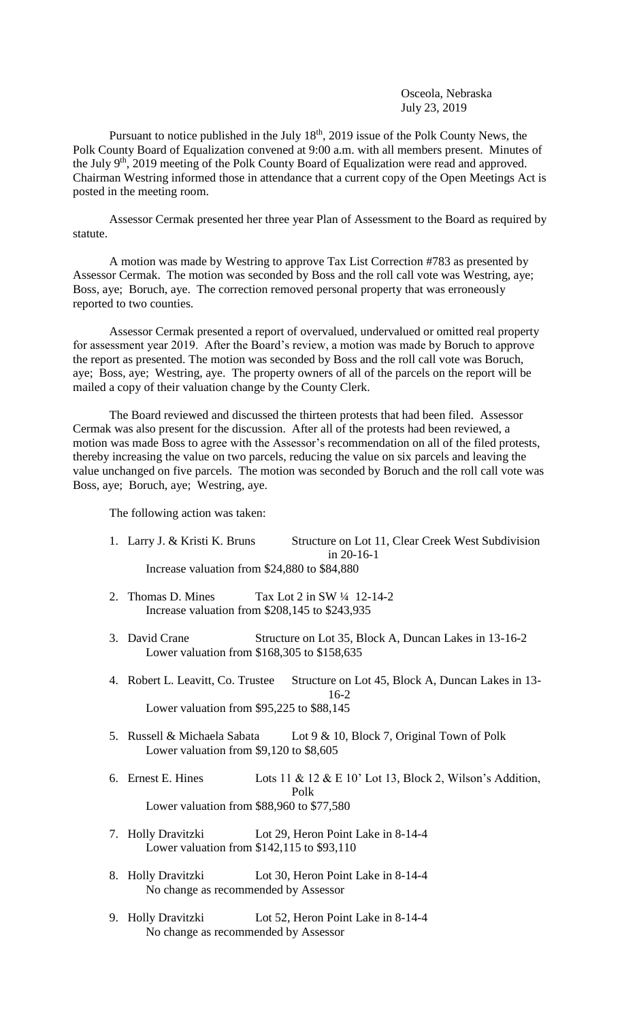Osceola, Nebraska July 23, 2019

Pursuant to notice published in the July  $18<sup>th</sup>$ , 2019 issue of the Polk County News, the Polk County Board of Equalization convened at 9:00 a.m. with all members present. Minutes of the July 9<sup>th</sup>, 2019 meeting of the Polk County Board of Equalization were read and approved. Chairman Westring informed those in attendance that a current copy of the Open Meetings Act is posted in the meeting room.

Assessor Cermak presented her three year Plan of Assessment to the Board as required by statute.

A motion was made by Westring to approve Tax List Correction #783 as presented by Assessor Cermak. The motion was seconded by Boss and the roll call vote was Westring, aye; Boss, aye; Boruch, aye. The correction removed personal property that was erroneously reported to two counties.

Assessor Cermak presented a report of overvalued, undervalued or omitted real property for assessment year 2019. After the Board's review, a motion was made by Boruch to approve the report as presented. The motion was seconded by Boss and the roll call vote was Boruch, aye; Boss, aye; Westring, aye. The property owners of all of the parcels on the report will be mailed a copy of their valuation change by the County Clerk.

The Board reviewed and discussed the thirteen protests that had been filed. Assessor Cermak was also present for the discussion. After all of the protests had been reviewed, a motion was made Boss to agree with the Assessor's recommendation on all of the filed protests, thereby increasing the value on two parcels, reducing the value on six parcels and leaving the value unchanged on five parcels. The motion was seconded by Boruch and the roll call vote was Boss, aye; Boruch, aye; Westring, aye.

The following action was taken:

- 1. Larry J. & Kristi K. Bruns Structure on Lot 11, Clear Creek West Subdivision in 20-16-1 Increase valuation from \$24,880 to \$84,880
- 2. Thomas D. Mines Tax Lot 2 in SW  $\frac{1}{4}$  12-14-2 Increase valuation from \$208,145 to \$243,935
- 3. David Crane Structure on Lot 35, Block A, Duncan Lakes in 13-16-2 Lower valuation from \$168,305 to \$158,635
- 4. Robert L. Leavitt, Co. Trustee Structure on Lot 45, Block A, Duncan Lakes in 13- 16-2 Lower valuation from \$95,225 to \$88,145
- 5. Russell & Michaela Sabata Lot 9 & 10, Block 7, Original Town of Polk Lower valuation from \$9,120 to \$8,605
- 6. Ernest E. Hines Lots 11 & 12 & E 10' Lot 13, Block 2, Wilson's Addition, Polk Lower valuation from \$88,960 to \$77,580
- 7. Holly Dravitzki Lot 29, Heron Point Lake in 8-14-4 Lower valuation from \$142,115 to \$93,110
- 8. Holly Dravitzki Lot 30, Heron Point Lake in 8-14-4 No change as recommended by Assessor
- 9. Holly Dravitzki Lot 52, Heron Point Lake in 8-14-4 No change as recommended by Assessor